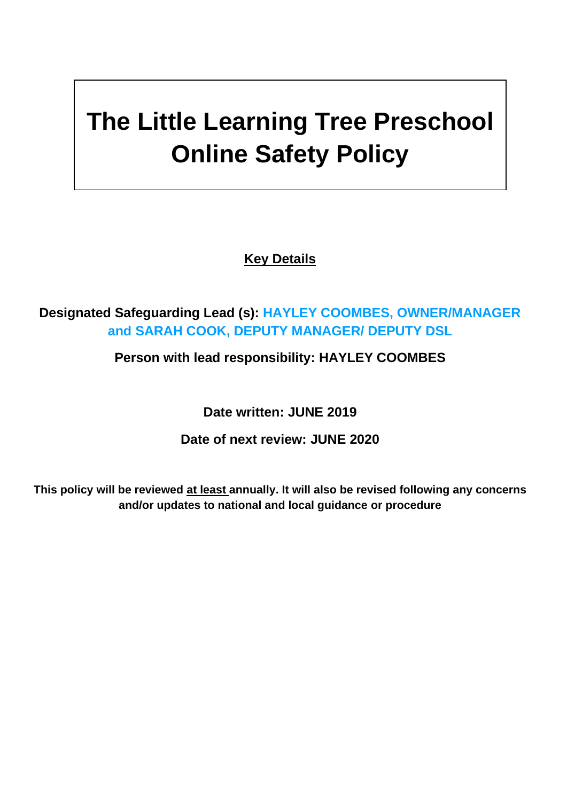# **The Little Learning Tree Preschool Online Safety Policy**

**Key Details**

## **Designated Safeguarding Lead (s): HAYLEY COOMBES, OWNER/MANAGER and SARAH COOK, DEPUTY MANAGER/ DEPUTY DSL**

## **Person with lead responsibility: HAYLEY COOMBES**

**Date written: JUNE 2019**

#### **Date of next review: JUNE 2020**

**This policy will be reviewed at least annually. It will also be revised following any concerns and/or updates to national and local guidance or procedure**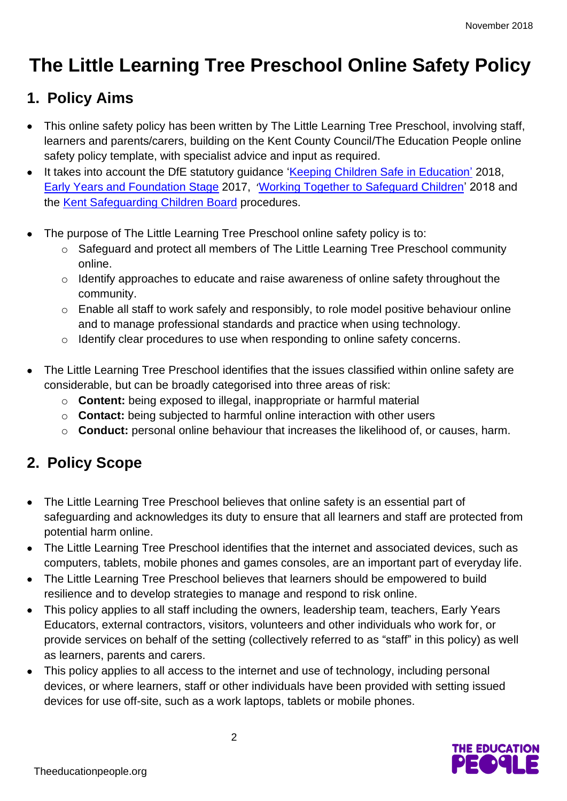## **The Little Learning Tree Preschool Online Safety Policy**

## **1. Policy Aims**

- This online safety policy has been written by The Little Learning Tree Preschool, involving staff, learners and parents/carers, building on the Kent County Council/The Education People online safety policy template, with specialist advice and input as required.
- It takes into account the DfE statutory guidance ['Keeping Children Safe in Education'](https://www.gov.uk/government/publications/keeping-children-safe-in-education--2) 2018, [Early Years and Foundation Stage](https://www.gov.uk/government/publications/early-years-foundation-stage-framework--2) 2017, '[Working Together to Safeguard Children'](https://www.gov.uk/government/publications/working-together-to-safeguard-children--2) 2018 and the [Kent Safeguarding Children Board](http://www.kscb.org.uk/) procedures.
- The purpose of The Little Learning Tree Preschool online safety policy is to:
	- o Safeguard and protect all members of The Little Learning Tree Preschool community online.
	- o Identify approaches to educate and raise awareness of online safety throughout the community.
	- o Enable all staff to work safely and responsibly, to role model positive behaviour online and to manage professional standards and practice when using technology.
	- o Identify clear procedures to use when responding to online safety concerns.
- The Little Learning Tree Preschool identifies that the issues classified within online safety are considerable, but can be broadly categorised into three areas of risk:
	- o **Content:** being exposed to illegal, inappropriate or harmful material
	- o **Contact:** being subjected to harmful online interaction with other users
	- o **Conduct:** personal online behaviour that increases the likelihood of, or causes, harm.

## **2. Policy Scope**

- The Little Learning Tree Preschool believes that online safety is an essential part of safeguarding and acknowledges its duty to ensure that all learners and staff are protected from potential harm online.
- The Little Learning Tree Preschool identifies that the internet and associated devices, such as computers, tablets, mobile phones and games consoles, are an important part of everyday life.
- The Little Learning Tree Preschool believes that learners should be empowered to build resilience and to develop strategies to manage and respond to risk online.
- This policy applies to all staff including the owners, leadership team, teachers, Early Years Educators, external contractors, visitors, volunteers and other individuals who work for, or provide services on behalf of the setting (collectively referred to as "staff" in this policy) as well as learners, parents and carers.
- This policy applies to all access to the internet and use of technology, including personal devices, or where learners, staff or other individuals have been provided with setting issued devices for use off-site, such as a work laptops, tablets or mobile phones.

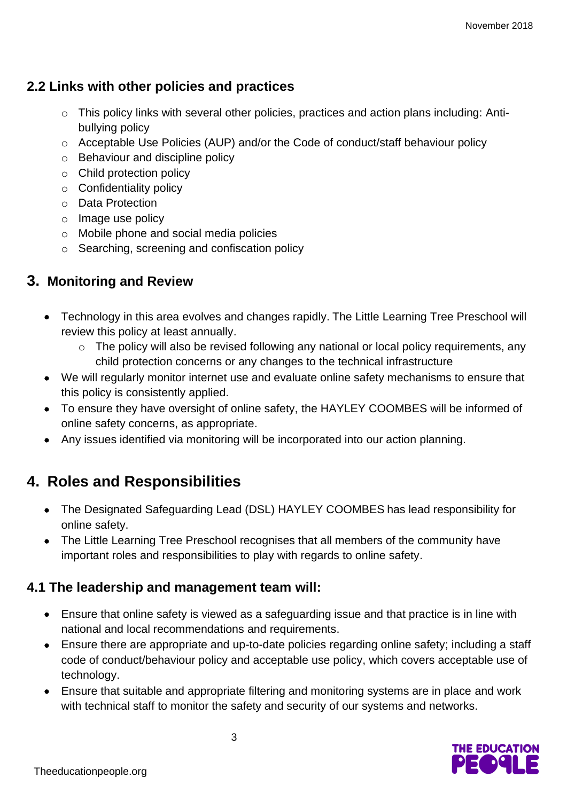#### **2.2 Links with other policies and practices**

- o This policy links with several other policies, practices and action plans including: Antibullying policy
- o Acceptable Use Policies (AUP) and/or the Code of conduct/staff behaviour policy
- o Behaviour and discipline policy
- o Child protection policy
- o Confidentiality policy
- o Data Protection
- o Image use policy
- o Mobile phone and social media policies
- o Searching, screening and confiscation policy

#### **3. Monitoring and Review**

- Technology in this area evolves and changes rapidly. The Little Learning Tree Preschool will review this policy at least annually.
	- o The policy will also be revised following any national or local policy requirements, any child protection concerns or any changes to the technical infrastructure
- We will regularly monitor internet use and evaluate online safety mechanisms to ensure that this policy is consistently applied.
- To ensure they have oversight of online safety, the HAYLEY COOMBES will be informed of online safety concerns, as appropriate.
- Any issues identified via monitoring will be incorporated into our action planning.

## **4. Roles and Responsibilities**

- The Designated Safeguarding Lead (DSL) HAYLEY COOMBES has lead responsibility for online safety.
- The Little Learning Tree Preschool recognises that all members of the community have important roles and responsibilities to play with regards to online safety.

#### **4.1 The leadership and management team will:**

- Ensure that online safety is viewed as a safeguarding issue and that practice is in line with national and local recommendations and requirements.
- Ensure there are appropriate and up-to-date policies regarding online safety; including a staff code of conduct/behaviour policy and acceptable use policy, which covers acceptable use of technology.
- Ensure that suitable and appropriate filtering and monitoring systems are in place and work with technical staff to monitor the safety and security of our systems and networks.

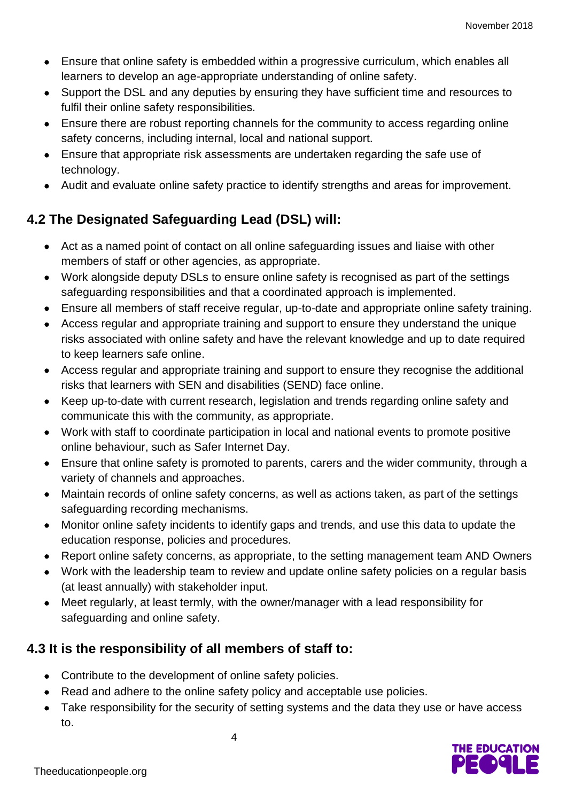- Ensure that online safety is embedded within a progressive curriculum, which enables all learners to develop an age-appropriate understanding of online safety.
- Support the DSL and any deputies by ensuring they have sufficient time and resources to fulfil their online safety responsibilities.
- Ensure there are robust reporting channels for the community to access regarding online safety concerns, including internal, local and national support.
- Ensure that appropriate risk assessments are undertaken regarding the safe use of technology.
- Audit and evaluate online safety practice to identify strengths and areas for improvement.

## **4.2 The Designated Safeguarding Lead (DSL) will:**

- Act as a named point of contact on all online safeguarding issues and liaise with other members of staff or other agencies, as appropriate.
- Work alongside deputy DSLs to ensure online safety is recognised as part of the settings safeguarding responsibilities and that a coordinated approach is implemented.
- Ensure all members of staff receive regular, up-to-date and appropriate online safety training.
- Access regular and appropriate training and support to ensure they understand the unique risks associated with online safety and have the relevant knowledge and up to date required to keep learners safe online.
- Access regular and appropriate training and support to ensure they recognise the additional risks that learners with SEN and disabilities (SEND) face online.
- Keep up-to-date with current research, legislation and trends regarding online safety and communicate this with the community, as appropriate.
- Work with staff to coordinate participation in local and national events to promote positive online behaviour, such as Safer Internet Day.
- Ensure that online safety is promoted to parents, carers and the wider community, through a variety of channels and approaches.
- Maintain records of online safety concerns, as well as actions taken, as part of the settings safeguarding recording mechanisms.
- Monitor online safety incidents to identify gaps and trends, and use this data to update the education response, policies and procedures.
- Report online safety concerns, as appropriate, to the setting management team AND Owners
- Work with the leadership team to review and update online safety policies on a regular basis (at least annually) with stakeholder input.
- Meet regularly, at least termly, with the owner/manager with a lead responsibility for safeguarding and online safety.

#### **4.3 It is the responsibility of all members of staff to:**

- Contribute to the development of online safety policies.
- Read and adhere to the online safety policy and acceptable use policies.

4

Take responsibility for the security of setting systems and the data they use or have access to.

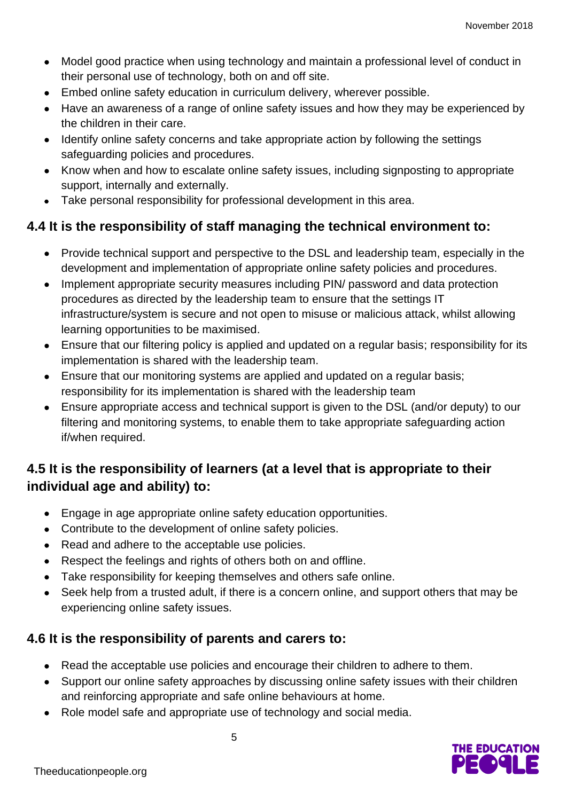- Model good practice when using technology and maintain a professional level of conduct in their personal use of technology, both on and off site.
- Embed online safety education in curriculum delivery, wherever possible.
- Have an awareness of a range of online safety issues and how they may be experienced by the children in their care.
- Identify online safety concerns and take appropriate action by following the settings safeguarding policies and procedures.
- Know when and how to escalate online safety issues, including signposting to appropriate support, internally and externally.
- Take personal responsibility for professional development in this area.

#### **4.4 It is the responsibility of staff managing the technical environment to:**

- Provide technical support and perspective to the DSL and leadership team, especially in the development and implementation of appropriate online safety policies and procedures.
- Implement appropriate security measures including PIN/ password and data protection procedures as directed by the leadership team to ensure that the settings IT infrastructure/system is secure and not open to misuse or malicious attack, whilst allowing learning opportunities to be maximised.
- Ensure that our filtering policy is applied and updated on a regular basis; responsibility for its implementation is shared with the leadership team.
- Ensure that our monitoring systems are applied and updated on a regular basis; responsibility for its implementation is shared with the leadership team
- Ensure appropriate access and technical support is given to the DSL (and/or deputy) to our filtering and monitoring systems, to enable them to take appropriate safeguarding action if/when required.

## **4.5 It is the responsibility of learners (at a level that is appropriate to their individual age and ability) to:**

- Engage in age appropriate online safety education opportunities.
- Contribute to the development of online safety policies.
- Read and adhere to the acceptable use policies.
- Respect the feelings and rights of others both on and offline.
- Take responsibility for keeping themselves and others safe online.
- Seek help from a trusted adult, if there is a concern online, and support others that may be experiencing online safety issues.

#### **4.6 It is the responsibility of parents and carers to:**

- Read the acceptable use policies and encourage their children to adhere to them.
- Support our online safety approaches by discussing online safety issues with their children and reinforcing appropriate and safe online behaviours at home.
- Role model safe and appropriate use of technology and social media.

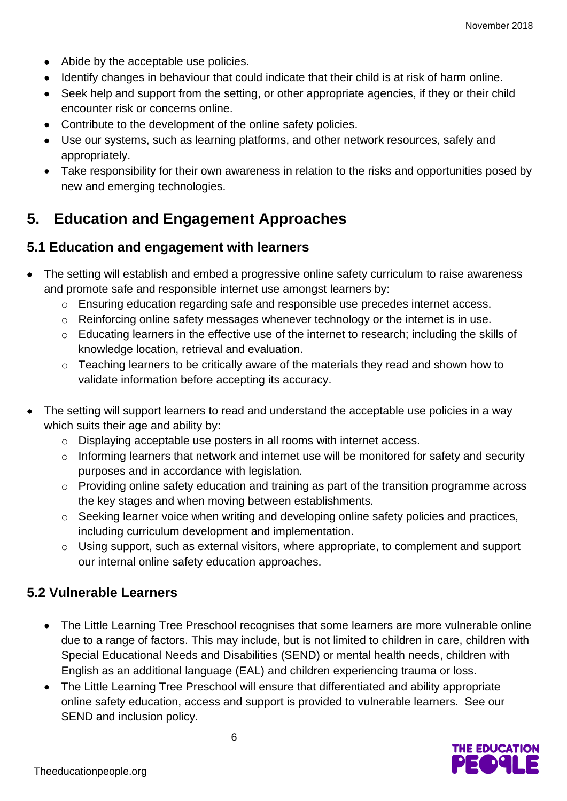- Abide by the acceptable use policies.
- Identify changes in behaviour that could indicate that their child is at risk of harm online.
- Seek help and support from the setting, or other appropriate agencies, if they or their child encounter risk or concerns online.
- Contribute to the development of the online safety policies.
- Use our systems, such as learning platforms, and other network resources, safely and appropriately.
- Take responsibility for their own awareness in relation to the risks and opportunities posed by new and emerging technologies.

## **5. Education and Engagement Approaches**

#### **5.1 Education and engagement with learners**

- The setting will establish and embed a progressive online safety curriculum to raise awareness and promote safe and responsible internet use amongst learners by:
	- o Ensuring education regarding safe and responsible use precedes internet access.
	- o Reinforcing online safety messages whenever technology or the internet is in use.
	- o Educating learners in the effective use of the internet to research; including the skills of knowledge location, retrieval and evaluation.
	- o Teaching learners to be critically aware of the materials they read and shown how to validate information before accepting its accuracy.
- The setting will support learners to read and understand the acceptable use policies in a way which suits their age and ability by:
	- o Displaying acceptable use posters in all rooms with internet access.
	- o Informing learners that network and internet use will be monitored for safety and security purposes and in accordance with legislation.
	- o Providing online safety education and training as part of the transition programme across the key stages and when moving between establishments.
	- o Seeking learner voice when writing and developing online safety policies and practices, including curriculum development and implementation.
	- o Using support, such as external visitors, where appropriate, to complement and support our internal online safety education approaches.

#### **5.2 Vulnerable Learners**

- The Little Learning Tree Preschool recognises that some learners are more vulnerable online due to a range of factors. This may include, but is not limited to children in care, children with Special Educational Needs and Disabilities (SEND) or mental health needs, children with English as an additional language (EAL) and children experiencing trauma or loss.
- The Little Learning Tree Preschool will ensure that differentiated and ability appropriate online safety education, access and support is provided to vulnerable learners. See our SEND and inclusion policy.

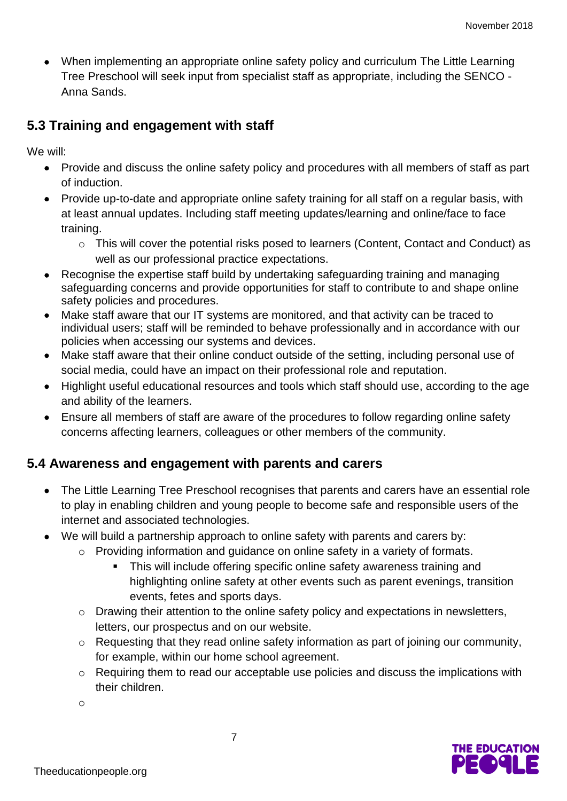• When implementing an appropriate online safety policy and curriculum The Little Learning Tree Preschool will seek input from specialist staff as appropriate, including the SENCO - Anna Sands.

#### **5.3 Training and engagement with staff**

We will:

- Provide and discuss the online safety policy and procedures with all members of staff as part of induction.
- Provide up-to-date and appropriate online safety training for all staff on a regular basis, with at least annual updates. Including staff meeting updates/learning and online/face to face training.
	- o This will cover the potential risks posed to learners (Content, Contact and Conduct) as well as our professional practice expectations.
- Recognise the expertise staff build by undertaking safeguarding training and managing safeguarding concerns and provide opportunities for staff to contribute to and shape online safety policies and procedures.
- Make staff aware that our IT systems are monitored, and that activity can be traced to individual users; staff will be reminded to behave professionally and in accordance with our policies when accessing our systems and devices.
- Make staff aware that their online conduct outside of the setting, including personal use of social media, could have an impact on their professional role and reputation.
- Highlight useful educational resources and tools which staff should use, according to the age and ability of the learners.
- Ensure all members of staff are aware of the procedures to follow regarding online safety concerns affecting learners, colleagues or other members of the community.

#### **5.4 Awareness and engagement with parents and carers**

- The Little Learning Tree Preschool recognises that parents and carers have an essential role to play in enabling children and young people to become safe and responsible users of the internet and associated technologies.
- We will build a partnership approach to online safety with parents and carers by:
	- o Providing information and guidance on online safety in a variety of formats.
		- This will include offering specific online safety awareness training and highlighting online safety at other events such as parent evenings, transition events, fetes and sports days.
	- o Drawing their attention to the online safety policy and expectations in newsletters, letters, our prospectus and on our website.
	- o Requesting that they read online safety information as part of joining our community, for example, within our home school agreement.
	- o Requiring them to read our acceptable use policies and discuss the implications with their children.

o

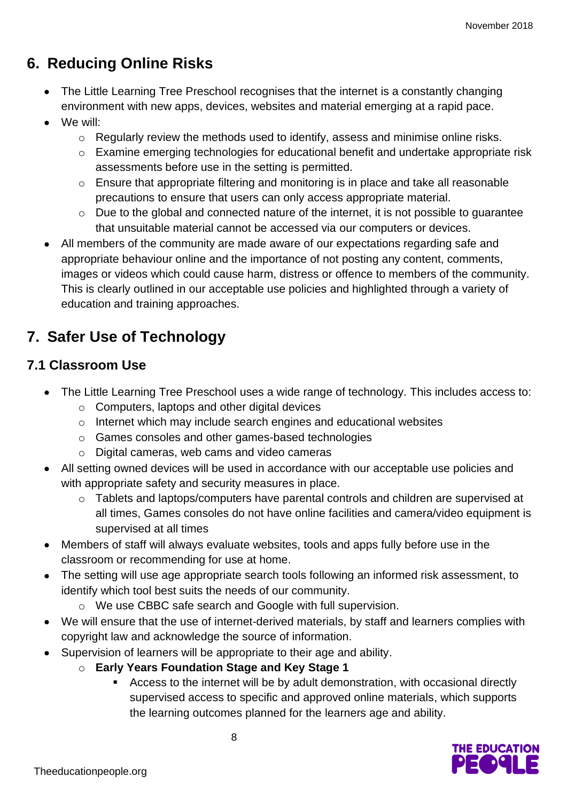## **6. Reducing Online Risks**

- The Little Learning Tree Preschool recognises that the internet is a constantly changing environment with new apps, devices, websites and material emerging at a rapid pace.
- We will:
	- o Regularly review the methods used to identify, assess and minimise online risks.
	- o Examine emerging technologies for educational benefit and undertake appropriate risk assessments before use in the setting is permitted.
	- o Ensure that appropriate filtering and monitoring is in place and take all reasonable precautions to ensure that users can only access appropriate material.
	- o Due to the global and connected nature of the internet, it is not possible to guarantee that unsuitable material cannot be accessed via our computers or devices.
- All members of the community are made aware of our expectations regarding safe and appropriate behaviour online and the importance of not posting any content, comments, images or videos which could cause harm, distress or offence to members of the community. This is clearly outlined in our acceptable use policies and highlighted through a variety of education and training approaches.

## **7. Safer Use of Technology**

## **7.1 Classroom Use**

- The Little Learning Tree Preschool uses a wide range of technology. This includes access to:
	- o Computers, laptops and other digital devices
	- o Internet which may include search engines and educational websites
	- o Games consoles and other games-based technologies
	- o Digital cameras, web cams and video cameras
- All setting owned devices will be used in accordance with our acceptable use policies and with appropriate safety and security measures in place.
	- o Tablets and laptops/computers have parental controls and children are supervised at all times, Games consoles do not have online facilities and camera/video equipment is supervised at all times
- Members of staff will always evaluate websites, tools and apps fully before use in the classroom or recommending for use at home.
- The setting will use age appropriate search tools following an informed risk assessment, to identify which tool best suits the needs of our community.
	- o We use CBBC safe search and Google with full supervision.
- We will ensure that the use of internet-derived materials, by staff and learners complies with copyright law and acknowledge the source of information.
- Supervision of learners will be appropriate to their age and ability.

- o **Early Years Foundation Stage and Key Stage 1**
	- Access to the internet will be by adult demonstration, with occasional directly supervised access to specific and approved online materials, which supports the learning outcomes planned for the learners age and ability.

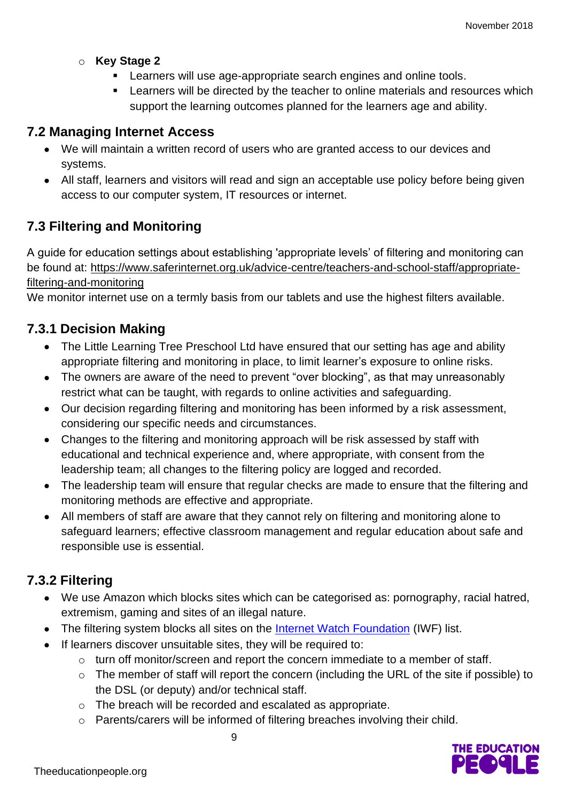- o **Key Stage 2** 
	- **EXECT** Learners will use age-appropriate search engines and online tools.
	- Learners will be directed by the teacher to online materials and resources which support the learning outcomes planned for the learners age and ability.

#### **7.2 Managing Internet Access**

- We will maintain a written record of users who are granted access to our devices and systems.
- All staff, learners and visitors will read and sign an acceptable use policy before being given access to our computer system, IT resources or internet.

#### **7.3 Filtering and Monitoring**

A guide for education settings about establishing 'appropriate levels' of filtering and monitoring can be found at: [https://www.saferinternet.org.uk/advice-centre/teachers-and-school-staff/appropriate](https://www.saferinternet.org.uk/advice-centre/teachers-and-school-staff/appropriate-filtering-and-monitoring)[filtering-and-monitoring](https://www.saferinternet.org.uk/advice-centre/teachers-and-school-staff/appropriate-filtering-and-monitoring)

We monitor internet use on a termly basis from our tablets and use the highest filters available.

#### **7.3.1 Decision Making**

- The Little Learning Tree Preschool Ltd have ensured that our setting has age and ability appropriate filtering and monitoring in place, to limit learner's exposure to online risks.
- The owners are aware of the need to prevent "over blocking", as that may unreasonably restrict what can be taught, with regards to online activities and safeguarding.
- Our decision regarding filtering and monitoring has been informed by a risk assessment, considering our specific needs and circumstances.
- Changes to the filtering and monitoring approach will be risk assessed by staff with educational and technical experience and, where appropriate, with consent from the leadership team; all changes to the filtering policy are logged and recorded.
- The leadership team will ensure that regular checks are made to ensure that the filtering and monitoring methods are effective and appropriate.
- All members of staff are aware that they cannot rely on filtering and monitoring alone to safeguard learners; effective classroom management and regular education about safe and responsible use is essential.

#### **7.3.2 Filtering**

- We use Amazon which blocks sites which can be categorised as: pornography, racial hatred, extremism, gaming and sites of an illegal nature.
- The filtering system blocks all sites on the [Internet Watch Foundation](https://www.iwf.org.uk/) (IWF) list.
- If learners discover unsuitable sites, they will be required to:
	- o turn off monitor/screen and report the concern immediate to a member of staff.
	- o The member of staff will report the concern (including the URL of the site if possible) to the DSL (or deputy) and/or technical staff.
	- o The breach will be recorded and escalated as appropriate.
	- o Parents/carers will be informed of filtering breaches involving their child.

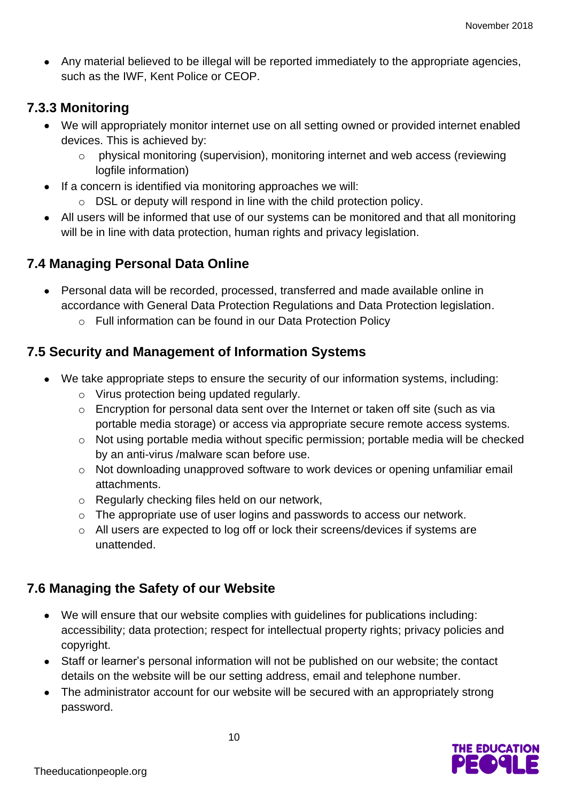• Any material believed to be illegal will be reported immediately to the appropriate agencies, such as the IWF, Kent Police or CEOP.

#### **7.3.3 Monitoring**

- We will appropriately monitor internet use on all setting owned or provided internet enabled devices. This is achieved by:
	- o physical monitoring (supervision), monitoring internet and web access (reviewing logfile information)
- If a concern is identified via monitoring approaches we will:
	- o DSL or deputy will respond in line with the child protection policy.
- All users will be informed that use of our systems can be monitored and that all monitoring will be in line with data protection, human rights and privacy legislation.

#### **7.4 Managing Personal Data Online**

- Personal data will be recorded, processed, transferred and made available online in accordance with General Data Protection Regulations and Data Protection legislation.
	- o Full information can be found in our Data Protection Policy

#### **7.5 Security and Management of Information Systems**

- We take appropriate steps to ensure the security of our information systems, including:
	- o Virus protection being updated regularly.
	- o Encryption for personal data sent over the Internet or taken off site (such as via portable media storage) or access via appropriate secure remote access systems.
	- o Not using portable media without specific permission; portable media will be checked by an anti-virus /malware scan before use.
	- o Not downloading unapproved software to work devices or opening unfamiliar email attachments.
	- o Regularly checking files held on our network,
	- o The appropriate use of user logins and passwords to access our network.
	- o All users are expected to log off or lock their screens/devices if systems are unattended.

#### **7.6 Managing the Safety of our Website**

- We will ensure that our website complies with guidelines for publications including: accessibility; data protection; respect for intellectual property rights; privacy policies and copyright.
- Staff or learner's personal information will not be published on our website; the contact details on the website will be our setting address, email and telephone number.
- The administrator account for our website will be secured with an appropriately strong password.

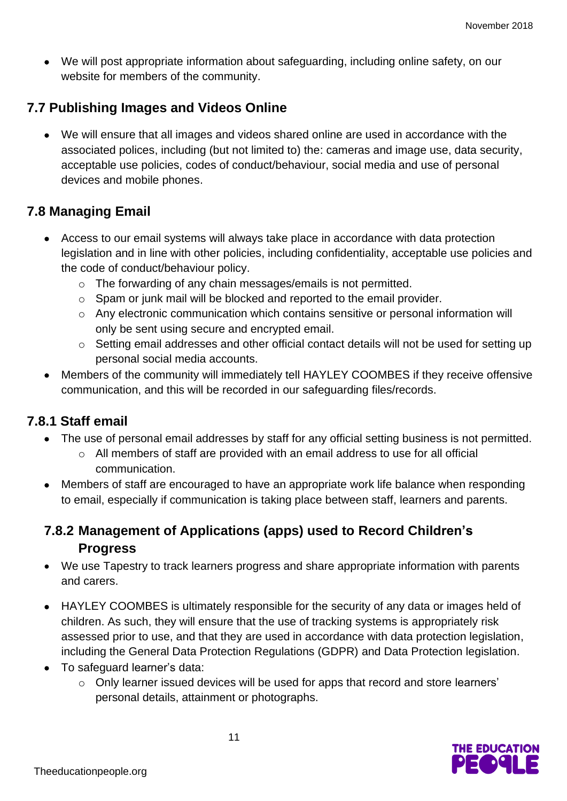• We will post appropriate information about safeguarding, including online safety, on our website for members of the community.

#### **7.7 Publishing Images and Videos Online**

• We will ensure that all images and videos shared online are used in accordance with the associated polices, including (but not limited to) the: cameras and image use, data security, acceptable use policies, codes of conduct/behaviour, social media and use of personal devices and mobile phones.

#### **7.8 Managing Email**

- Access to our email systems will always take place in accordance with data protection legislation and in line with other policies, including confidentiality, acceptable use policies and the code of conduct/behaviour policy.
	- o The forwarding of any chain messages/emails is not permitted.
	- o Spam or junk mail will be blocked and reported to the email provider.
	- o Any electronic communication which contains sensitive or personal information will only be sent using secure and encrypted email.
	- o Setting email addresses and other official contact details will not be used for setting up personal social media accounts.
- Members of the community will immediately tell HAYLEY COOMBES if they receive offensive communication, and this will be recorded in our safeguarding files/records.

#### **7.8.1 Staff email**

- The use of personal email addresses by staff for any official setting business is not permitted.
	- o All members of staff are provided with an email address to use for all official communication.
- Members of staff are encouraged to have an appropriate work life balance when responding to email, especially if communication is taking place between staff, learners and parents.

#### **7.8.2 Management of Applications (apps) used to Record Children's Progress**

- We use Tapestry to track learners progress and share appropriate information with parents and carers.
- HAYLEY COOMBES is ultimately responsible for the security of any data or images held of children. As such, they will ensure that the use of tracking systems is appropriately risk assessed prior to use, and that they are used in accordance with data protection legislation, including the General Data Protection Regulations (GDPR) and Data Protection legislation.
- To safeguard learner's data:
	- o Only learner issued devices will be used for apps that record and store learners' personal details, attainment or photographs.

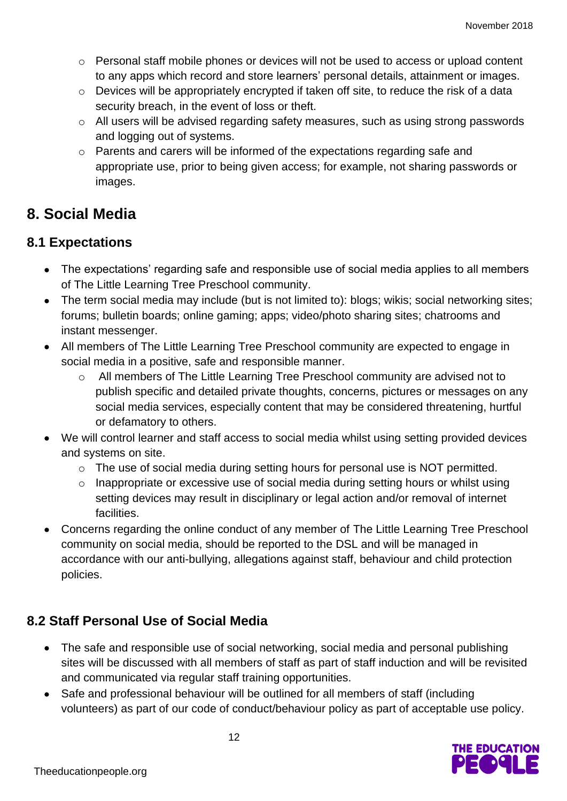- $\circ$  Personal staff mobile phones or devices will not be used to access or upload content to any apps which record and store learners' personal details, attainment or images.
- $\circ$  Devices will be appropriately encrypted if taken off site, to reduce the risk of a data security breach, in the event of loss or theft.
- o All users will be advised regarding safety measures, such as using strong passwords and logging out of systems.
- o Parents and carers will be informed of the expectations regarding safe and appropriate use, prior to being given access; for example, not sharing passwords or images.

## **8. Social Media**

#### **8.1 Expectations**

- The expectations' regarding safe and responsible use of social media applies to all members of The Little Learning Tree Preschool community.
- The term social media may include (but is not limited to): blogs; wikis; social networking sites; forums; bulletin boards; online gaming; apps; video/photo sharing sites; chatrooms and instant messenger.
- All members of The Little Learning Tree Preschool community are expected to engage in social media in a positive, safe and responsible manner.
	- o All members of The Little Learning Tree Preschool community are advised not to publish specific and detailed private thoughts, concerns, pictures or messages on any social media services, especially content that may be considered threatening, hurtful or defamatory to others.
- We will control learner and staff access to social media whilst using setting provided devices and systems on site.
	- o The use of social media during setting hours for personal use is NOT permitted.
	- o Inappropriate or excessive use of social media during setting hours or whilst using setting devices may result in disciplinary or legal action and/or removal of internet facilities.
- Concerns regarding the online conduct of any member of The Little Learning Tree Preschool community on social media, should be reported to the DSL and will be managed in accordance with our anti-bullying, allegations against staff, behaviour and child protection policies.

## **8.2 Staff Personal Use of Social Media**

- The safe and responsible use of social networking, social media and personal publishing sites will be discussed with all members of staff as part of staff induction and will be revisited and communicated via regular staff training opportunities.
- Safe and professional behaviour will be outlined for all members of staff (including volunteers) as part of our code of conduct/behaviour policy as part of acceptable use policy.

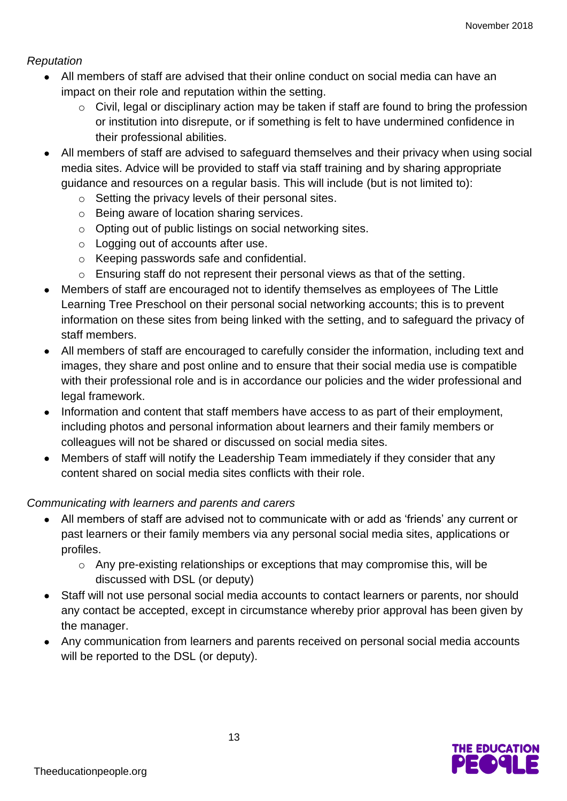#### *Reputation*

- All members of staff are advised that their online conduct on social media can have an impact on their role and reputation within the setting.
	- o Civil, legal or disciplinary action may be taken if staff are found to bring the profession or institution into disrepute, or if something is felt to have undermined confidence in their professional abilities.
- All members of staff are advised to safeguard themselves and their privacy when using social media sites. Advice will be provided to staff via staff training and by sharing appropriate guidance and resources on a regular basis. This will include (but is not limited to):
	- o Setting the privacy levels of their personal sites.
	- o Being aware of location sharing services.
	- o Opting out of public listings on social networking sites.
	- o Logging out of accounts after use.
	- o Keeping passwords safe and confidential.
	- o Ensuring staff do not represent their personal views as that of the setting.
- Members of staff are encouraged not to identify themselves as employees of The Little Learning Tree Preschool on their personal social networking accounts; this is to prevent information on these sites from being linked with the setting, and to safeguard the privacy of staff members.
- All members of staff are encouraged to carefully consider the information, including text and images, they share and post online and to ensure that their social media use is compatible with their professional role and is in accordance our policies and the wider professional and legal framework.
- Information and content that staff members have access to as part of their employment, including photos and personal information about learners and their family members or colleagues will not be shared or discussed on social media sites.
- Members of staff will notify the Leadership Team immediately if they consider that any content shared on social media sites conflicts with their role.

#### *Communicating with learners and parents and carers*

- All members of staff are advised not to communicate with or add as 'friends' any current or past learners or their family members via any personal social media sites, applications or profiles.
	- o Any pre-existing relationships or exceptions that may compromise this, will be discussed with DSL (or deputy)
- Staff will not use personal social media accounts to contact learners or parents, nor should any contact be accepted, except in circumstance whereby prior approval has been given by the manager.
- Any communication from learners and parents received on personal social media accounts will be reported to the DSL (or deputy).

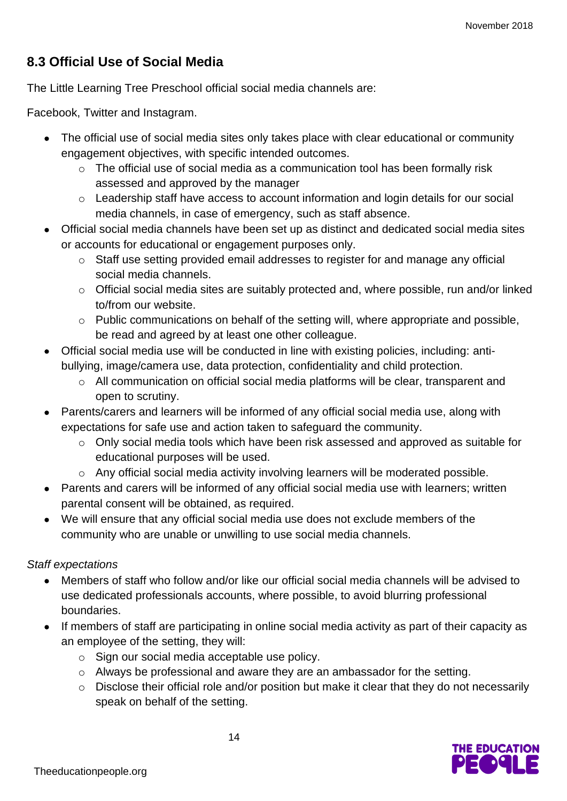## **8.3 Official Use of Social Media**

The Little Learning Tree Preschool official social media channels are:

Facebook, Twitter and Instagram.

- The official use of social media sites only takes place with clear educational or community engagement objectives, with specific intended outcomes.
	- $\circ$  The official use of social media as a communication tool has been formally risk assessed and approved by the manager
	- o Leadership staff have access to account information and login details for our social media channels, in case of emergency, such as staff absence.
- Official social media channels have been set up as distinct and dedicated social media sites or accounts for educational or engagement purposes only.
	- o Staff use setting provided email addresses to register for and manage any official social media channels.
	- o Official social media sites are suitably protected and, where possible, run and/or linked to/from our website.
	- $\circ$  Public communications on behalf of the setting will, where appropriate and possible, be read and agreed by at least one other colleague.
- Official social media use will be conducted in line with existing policies, including: antibullying, image/camera use, data protection, confidentiality and child protection.
	- o All communication on official social media platforms will be clear, transparent and open to scrutiny.
- Parents/carers and learners will be informed of any official social media use, along with expectations for safe use and action taken to safeguard the community.
	- o Only social media tools which have been risk assessed and approved as suitable for educational purposes will be used.
	- o Any official social media activity involving learners will be moderated possible.
- Parents and carers will be informed of any official social media use with learners; written parental consent will be obtained, as required.
- We will ensure that any official social media use does not exclude members of the community who are unable or unwilling to use social media channels.

#### *Staff expectations*

- Members of staff who follow and/or like our official social media channels will be advised to use dedicated professionals accounts, where possible, to avoid blurring professional boundaries.
- If members of staff are participating in online social media activity as part of their capacity as an employee of the setting, they will:
	- o Sign our social media acceptable use policy.
	- o Always be professional and aware they are an ambassador for the setting.
	- o Disclose their official role and/or position but make it clear that they do not necessarily speak on behalf of the setting.

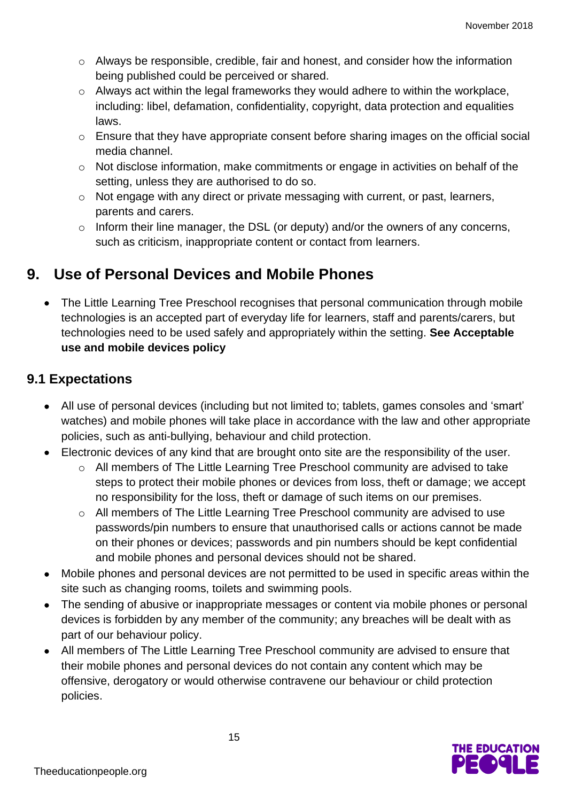- $\circ$  Always be responsible, credible, fair and honest, and consider how the information being published could be perceived or shared.
- o Always act within the legal frameworks they would adhere to within the workplace, including: libel, defamation, confidentiality, copyright, data protection and equalities laws.
- o Ensure that they have appropriate consent before sharing images on the official social media channel.
- o Not disclose information, make commitments or engage in activities on behalf of the setting, unless they are authorised to do so.
- o Not engage with any direct or private messaging with current, or past, learners, parents and carers.
- o Inform their line manager, the DSL (or deputy) and/or the owners of any concerns, such as criticism, inappropriate content or contact from learners.

## **9. Use of Personal Devices and Mobile Phones**

• The Little Learning Tree Preschool recognises that personal communication through mobile technologies is an accepted part of everyday life for learners, staff and parents/carers, but technologies need to be used safely and appropriately within the setting. **See Acceptable use and mobile devices policy**

#### **9.1 Expectations**

- All use of personal devices (including but not limited to; tablets, games consoles and 'smart' watches) and mobile phones will take place in accordance with the law and other appropriate policies, such as anti-bullying, behaviour and child protection.
- Electronic devices of any kind that are brought onto site are the responsibility of the user.
	- o All members of The Little Learning Tree Preschool community are advised to take steps to protect their mobile phones or devices from loss, theft or damage; we accept no responsibility for the loss, theft or damage of such items on our premises.
	- o All members of The Little Learning Tree Preschool community are advised to use passwords/pin numbers to ensure that unauthorised calls or actions cannot be made on their phones or devices; passwords and pin numbers should be kept confidential and mobile phones and personal devices should not be shared.
- Mobile phones and personal devices are not permitted to be used in specific areas within the site such as changing rooms, toilets and swimming pools.
- The sending of abusive or inappropriate messages or content via mobile phones or personal devices is forbidden by any member of the community; any breaches will be dealt with as part of our behaviour policy.
- All members of The Little Learning Tree Preschool community are advised to ensure that their mobile phones and personal devices do not contain any content which may be offensive, derogatory or would otherwise contravene our behaviour or child protection policies.

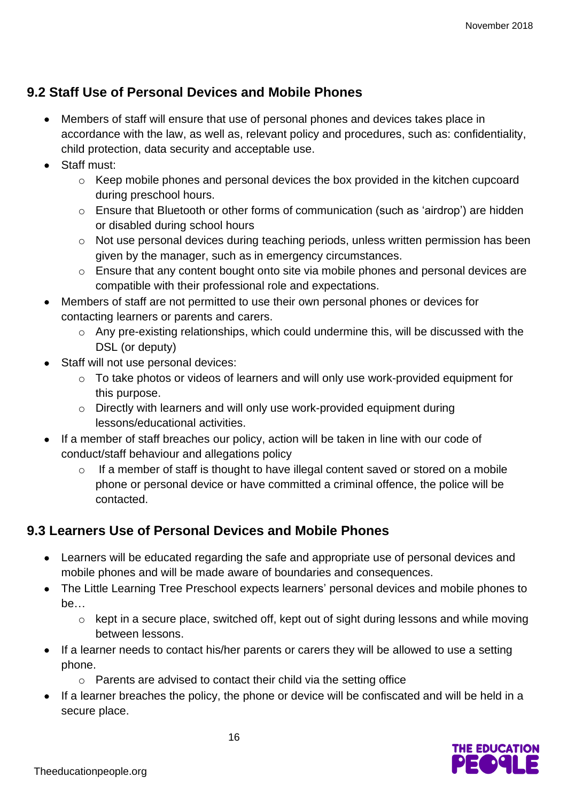#### **9.2 Staff Use of Personal Devices and Mobile Phones**

- Members of staff will ensure that use of personal phones and devices takes place in accordance with the law, as well as, relevant policy and procedures, such as: confidentiality, child protection, data security and acceptable use.
- Staff must:
	- o Keep mobile phones and personal devices the box provided in the kitchen cupcoard during preschool hours.
	- o Ensure that Bluetooth or other forms of communication (such as 'airdrop') are hidden or disabled during school hours
	- o Not use personal devices during teaching periods, unless written permission has been given by the manager, such as in emergency circumstances.
	- o Ensure that any content bought onto site via mobile phones and personal devices are compatible with their professional role and expectations.
- Members of staff are not permitted to use their own personal phones or devices for contacting learners or parents and carers.
	- o Any pre-existing relationships, which could undermine this, will be discussed with the DSL (or deputy)
- Staff will not use personal devices:
	- o To take photos or videos of learners and will only use work-provided equipment for this purpose.
	- o Directly with learners and will only use work-provided equipment during lessons/educational activities.
- If a member of staff breaches our policy, action will be taken in line with our code of conduct/staff behaviour and allegations policy
	- If a member of staff is thought to have illegal content saved or stored on a mobile phone or personal device or have committed a criminal offence, the police will be contacted.

## **9.3 Learners Use of Personal Devices and Mobile Phones**

- Learners will be educated regarding the safe and appropriate use of personal devices and mobile phones and will be made aware of boundaries and consequences.
- The Little Learning Tree Preschool expects learners' personal devices and mobile phones to be…
	- o kept in a secure place, switched off, kept out of sight during lessons and while moving between lessons.
- If a learner needs to contact his/her parents or carers they will be allowed to use a setting phone.
	- o Parents are advised to contact their child via the setting office
- If a learner breaches the policy, the phone or device will be confiscated and will be held in a secure place.

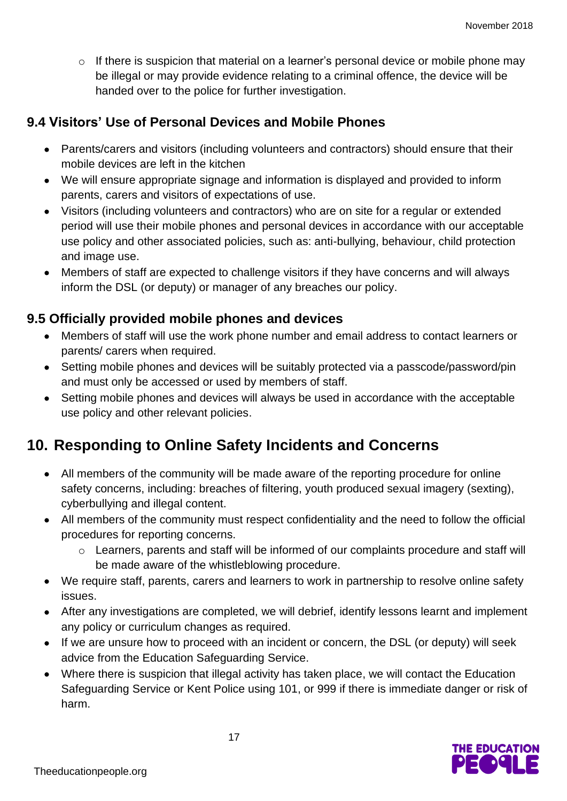$\circ$  If there is suspicion that material on a learner's personal device or mobile phone may be illegal or may provide evidence relating to a criminal offence, the device will be handed over to the police for further investigation.

#### **9.4 Visitors' Use of Personal Devices and Mobile Phones**

- Parents/carers and visitors (including volunteers and contractors) should ensure that their mobile devices are left in the kitchen
- We will ensure appropriate signage and information is displayed and provided to inform parents, carers and visitors of expectations of use.
- Visitors (including volunteers and contractors) who are on site for a regular or extended period will use their mobile phones and personal devices in accordance with our acceptable use policy and other associated policies, such as: anti-bullying, behaviour, child protection and image use.
- Members of staff are expected to challenge visitors if they have concerns and will always inform the DSL (or deputy) or manager of any breaches our policy.

#### **9.5 Officially provided mobile phones and devices**

- Members of staff will use the work phone number and email address to contact learners or parents/ carers when required.
- Setting mobile phones and devices will be suitably protected via a passcode/password/pin and must only be accessed or used by members of staff.
- Setting mobile phones and devices will always be used in accordance with the acceptable use policy and other relevant policies.

## **10. Responding to Online Safety Incidents and Concerns**

- All members of the community will be made aware of the reporting procedure for online safety concerns, including: breaches of filtering, youth produced sexual imagery (sexting), cyberbullying and illegal content.
- All members of the community must respect confidentiality and the need to follow the official procedures for reporting concerns.
	- o Learners, parents and staff will be informed of our complaints procedure and staff will be made aware of the whistleblowing procedure.
- We require staff, parents, carers and learners to work in partnership to resolve online safety issues.
- After any investigations are completed, we will debrief, identify lessons learnt and implement any policy or curriculum changes as required.
- If we are unsure how to proceed with an incident or concern, the DSL (or deputy) will seek advice from the Education Safeguarding Service.
- Where there is suspicion that illegal activity has taken place, we will contact the Education Safeguarding Service or Kent Police using 101, or 999 if there is immediate danger or risk of harm.

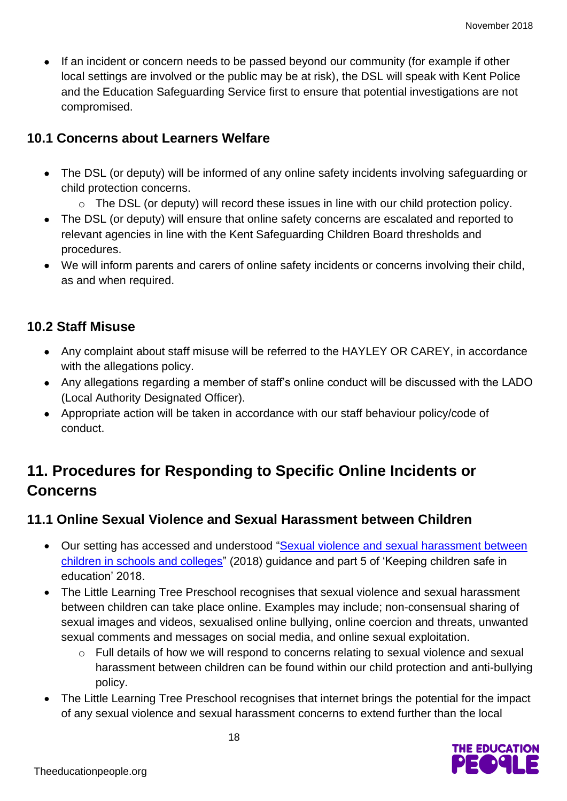• If an incident or concern needs to be passed beyond our community (for example if other local settings are involved or the public may be at risk), the DSL will speak with Kent Police and the Education Safeguarding Service first to ensure that potential investigations are not compromised.

#### **10.1 Concerns about Learners Welfare**

- The DSL (or deputy) will be informed of any online safety incidents involving safeguarding or child protection concerns.
	- o The DSL (or deputy) will record these issues in line with our child protection policy.
- The DSL (or deputy) will ensure that online safety concerns are escalated and reported to relevant agencies in line with the Kent Safeguarding Children Board thresholds and procedures.
- We will inform parents and carers of online safety incidents or concerns involving their child, as and when required.

#### **10.2 Staff Misuse**

- Any complaint about staff misuse will be referred to the HAYLEY OR CAREY, in accordance with the allegations policy.
- Any allegations regarding a member of staff's online conduct will be discussed with the LADO (Local Authority Designated Officer).
- Appropriate action will be taken in accordance with our staff behaviour policy/code of conduct.

## **11. Procedures for Responding to Specific Online Incidents or Concerns**

#### **11.1 Online Sexual Violence and Sexual Harassment between Children**

- Our setting has accessed and understood ["Sexual violence and sexual harassment between](https://www.gov.uk/government/publications/sexual-violence-and-sexual-harassment-between-children-in-schools-and-colleges)  [children in schools and colleges"](https://www.gov.uk/government/publications/sexual-violence-and-sexual-harassment-between-children-in-schools-and-colleges) (2018) guidance and part 5 of 'Keeping children safe in education' 2018.
- The Little Learning Tree Preschool recognises that sexual violence and sexual harassment between children can take place online. Examples may include; non-consensual sharing of sexual images and videos, sexualised online bullying, online coercion and threats, unwanted sexual comments and messages on social media, and online sexual exploitation.
	- o Full details of how we will respond to concerns relating to sexual violence and sexual harassment between children can be found within our child protection and anti-bullying policy.
- The Little Learning Tree Preschool recognises that internet brings the potential for the impact of any sexual violence and sexual harassment concerns to extend further than the local

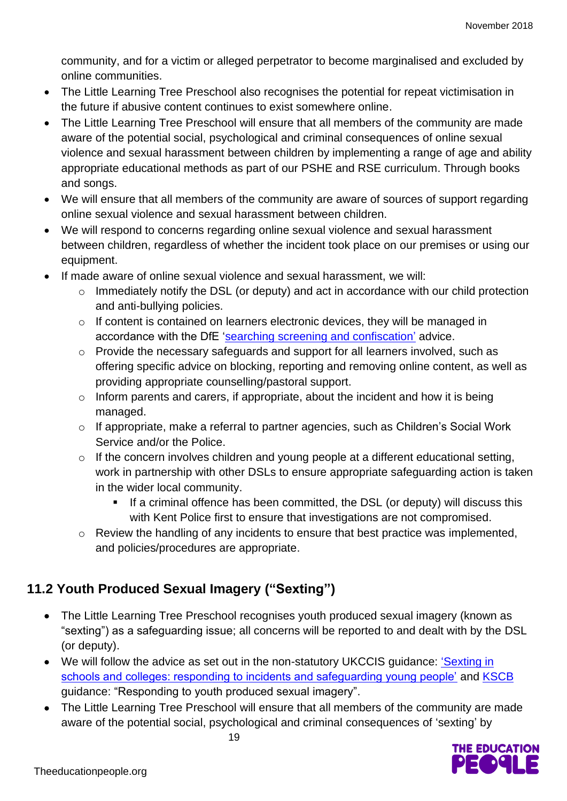community, and for a victim or alleged perpetrator to become marginalised and excluded by online communities.

- The Little Learning Tree Preschool also recognises the potential for repeat victimisation in the future if abusive content continues to exist somewhere online.
- The Little Learning Tree Preschool will ensure that all members of the community are made aware of the potential social, psychological and criminal consequences of online sexual violence and sexual harassment between children by implementing a range of age and ability appropriate educational methods as part of our PSHE and RSE curriculum. Through books and songs.
- We will ensure that all members of the community are aware of sources of support regarding online sexual violence and sexual harassment between children.
- We will respond to concerns regarding online sexual violence and sexual harassment between children, regardless of whether the incident took place on our premises or using our equipment.
- If made aware of online sexual violence and sexual harassment, we will:
	- o Immediately notify the DSL (or deputy) and act in accordance with our child protection and anti-bullying policies.
	- o If content is contained on learners electronic devices, they will be managed in accordance with the DfE ['searching screening and confiscation'](https://www.gov.uk/government/publications/searching-screening-and-confiscation) advice.
	- o Provide the necessary safeguards and support for all learners involved, such as offering specific advice on blocking, reporting and removing online content, as well as providing appropriate counselling/pastoral support.
	- o Inform parents and carers, if appropriate, about the incident and how it is being managed.
	- o If appropriate, make a referral to partner agencies, such as Children's Social Work Service and/or the Police.
	- o If the concern involves children and young people at a different educational setting, work in partnership with other DSLs to ensure appropriate safeguarding action is taken in the wider local community.
		- If a criminal offence has been committed, the DSL (or deputy) will discuss this with Kent Police first to ensure that investigations are not compromised.
	- o Review the handling of any incidents to ensure that best practice was implemented, and policies/procedures are appropriate.

## **11.2 Youth Produced Sexual Imagery ("Sexting")**

- The Little Learning Tree Preschool recognises youth produced sexual imagery (known as "sexting") as a safeguarding issue; all concerns will be reported to and dealt with by the DSL (or deputy).
- We will follow the advice as set out in the non-statutory UKCCIS quidance: 'Sexting in [schools and colleges: responding to incidents and safeguarding young people'](https://www.gov.uk/government/groups/uk-council-for-child-internet-safety-ukccis) and [KSCB](http://www.kscb.org.uk/guidance/online-safety) guidance: "Responding to youth produced sexual imagery".
- The Little Learning Tree Preschool will ensure that all members of the community are made aware of the potential social, psychological and criminal consequences of 'sexting' by

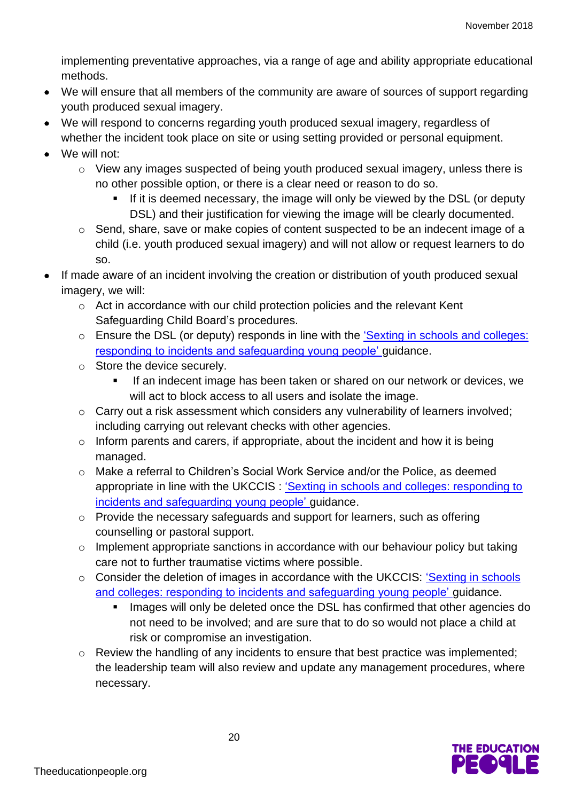implementing preventative approaches, via a range of age and ability appropriate educational methods.

- We will ensure that all members of the community are aware of sources of support regarding youth produced sexual imagery.
- We will respond to concerns regarding youth produced sexual imagery, regardless of whether the incident took place on site or using setting provided or personal equipment.
- We will not:
	- o View any images suspected of being youth produced sexual imagery, unless there is no other possible option, or there is a clear need or reason to do so.
		- **.** If it is deemed necessary, the image will only be viewed by the DSL (or deputy DSL) and their justification for viewing the image will be clearly documented.
	- o Send, share, save or make copies of content suspected to be an indecent image of a child (i.e. youth produced sexual imagery) and will not allow or request learners to do so.
- If made aware of an incident involving the creation or distribution of youth produced sexual imagery, we will:
	- o Act in accordance with our child protection policies and the relevant Kent Safeguarding Child Board's procedures.
	- o Ensure the DSL (or deputy) responds in line with the ['Sexting in schools and colleges:](https://www.gov.uk/government/groups/uk-council-for-child-internet-safety-ukccis)  [responding to incidents and safeguarding young people'](https://www.gov.uk/government/groups/uk-council-for-child-internet-safety-ukccis) guidance.
	- o Store the device securely.
		- If an indecent image has been taken or shared on our network or devices, we will act to block access to all users and isolate the image.
	- o Carry out a risk assessment which considers any vulnerability of learners involved; including carrying out relevant checks with other agencies.
	- o Inform parents and carers, if appropriate, about the incident and how it is being managed.
	- o Make a referral to Children's Social Work Service and/or the Police, as deemed appropriate in line with the UKCCIS : ['Sexting in schools and colleges: responding to](https://www.gov.uk/government/groups/uk-council-for-child-internet-safety-ukccis)  [incidents and safeguarding young people'](https://www.gov.uk/government/groups/uk-council-for-child-internet-safety-ukccis) guidance.
	- o Provide the necessary safeguards and support for learners, such as offering counselling or pastoral support.
	- o Implement appropriate sanctions in accordance with our behaviour policy but taking care not to further traumatise victims where possible.
	- o Consider the deletion of images in accordance with the UKCCIS: ['Sexting in schools](https://www.gov.uk/government/groups/uk-council-for-child-internet-safety-ukccis)  [and colleges: responding to incidents and safeguarding young people'](https://www.gov.uk/government/groups/uk-council-for-child-internet-safety-ukccis) guidance.
		- Images will only be deleted once the DSL has confirmed that other agencies do not need to be involved; and are sure that to do so would not place a child at risk or compromise an investigation.
	- o Review the handling of any incidents to ensure that best practice was implemented; the leadership team will also review and update any management procedures, where necessary.

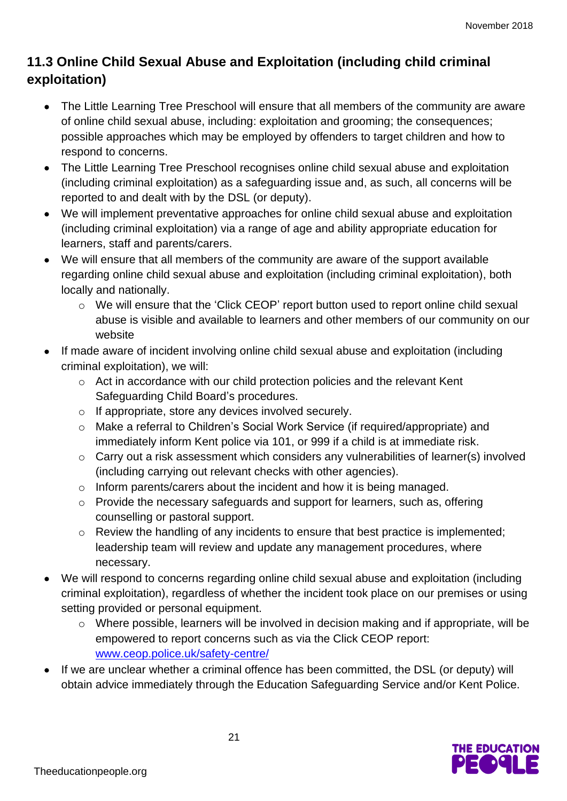## **11.3 Online Child Sexual Abuse and Exploitation (including child criminal exploitation)**

- The Little Learning Tree Preschool will ensure that all members of the community are aware of online child sexual abuse, including: exploitation and grooming; the consequences; possible approaches which may be employed by offenders to target children and how to respond to concerns.
- The Little Learning Tree Preschool recognises online child sexual abuse and exploitation (including criminal exploitation) as a safeguarding issue and, as such, all concerns will be reported to and dealt with by the DSL (or deputy).
- We will implement preventative approaches for online child sexual abuse and exploitation (including criminal exploitation) via a range of age and ability appropriate education for learners, staff and parents/carers.
- We will ensure that all members of the community are aware of the support available regarding online child sexual abuse and exploitation (including criminal exploitation), both locally and nationally.
	- o We will ensure that the 'Click CEOP' report button used to report online child sexual abuse is visible and available to learners and other members of our community on our website
- If made aware of incident involving online child sexual abuse and exploitation (including criminal exploitation), we will:
	- o Act in accordance with our child protection policies and the relevant Kent Safeguarding Child Board's procedures.
	- o If appropriate, store any devices involved securely.
	- o Make a referral to Children's Social Work Service (if required/appropriate) and immediately inform Kent police via 101, or 999 if a child is at immediate risk.
	- o Carry out a risk assessment which considers any vulnerabilities of learner(s) involved (including carrying out relevant checks with other agencies).
	- o Inform parents/carers about the incident and how it is being managed.
	- o Provide the necessary safeguards and support for learners, such as, offering counselling or pastoral support.
	- o Review the handling of any incidents to ensure that best practice is implemented; leadership team will review and update any management procedures, where necessary.
- We will respond to concerns regarding online child sexual abuse and exploitation (including criminal exploitation), regardless of whether the incident took place on our premises or using setting provided or personal equipment.
	- o Where possible, learners will be involved in decision making and if appropriate, will be empowered to report concerns such as via the Click CEOP report: [www.ceop.police.uk/safety-centre/](http://www.ceop.police.uk/safety-centre/)
- If we are unclear whether a criminal offence has been committed, the DSL (or deputy) will obtain advice immediately through the Education Safeguarding Service and/or Kent Police.

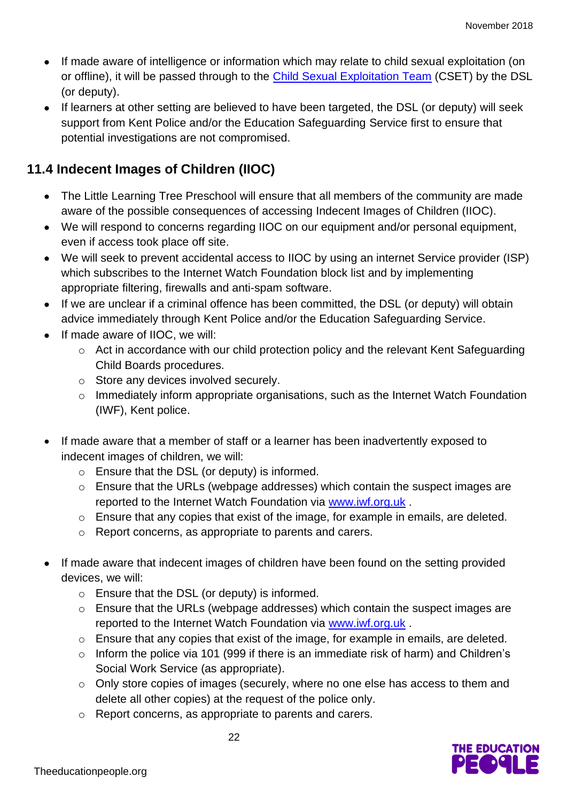- If made aware of intelligence or information which may relate to child sexual exploitation (on or offline), it will be passed through to the [Child Sexual Exploitation Team](https://www.kent.police.uk/childabuse/) (CSET) by the DSL (or deputy).
- If learners at other setting are believed to have been targeted, the DSL (or deputy) will seek support from Kent Police and/or the Education Safeguarding Service first to ensure that potential investigations are not compromised.

#### **11.4 Indecent Images of Children (IIOC)**

- The Little Learning Tree Preschool will ensure that all members of the community are made aware of the possible consequences of accessing Indecent Images of Children (IIOC).
- We will respond to concerns regarding IIOC on our equipment and/or personal equipment, even if access took place off site.
- We will seek to prevent accidental access to IIOC by using an internet Service provider (ISP) which subscribes to the Internet Watch Foundation block list and by implementing appropriate filtering, firewalls and anti-spam software.
- If we are unclear if a criminal offence has been committed, the DSL (or deputy) will obtain advice immediately through Kent Police and/or the Education Safeguarding Service.
- If made aware of IIOC, we will:
	- o Act in accordance with our child protection policy and the relevant Kent Safeguarding Child Boards procedures.
	- o Store any devices involved securely.
	- o Immediately inform appropriate organisations, such as the Internet Watch Foundation (IWF), Kent police.
- If made aware that a member of staff or a learner has been inadvertently exposed to indecent images of children, we will:
	- o Ensure that the DSL (or deputy) is informed.
	- o Ensure that the URLs (webpage addresses) which contain the suspect images are reported to the Internet Watch Foundation via [www.iwf.org.uk](https://www.iwf.org.uk/) .
	- o Ensure that any copies that exist of the image, for example in emails, are deleted.
	- o Report concerns, as appropriate to parents and carers.
- If made aware that indecent images of children have been found on the setting provided devices, we will:
	- o Ensure that the DSL (or deputy) is informed.
	- o Ensure that the URLs (webpage addresses) which contain the suspect images are reported to the Internet Watch Foundation via [www.iwf.org.uk](https://www.iwf.org.uk/) .
	- o Ensure that any copies that exist of the image, for example in emails, are deleted.
	- o Inform the police via 101 (999 if there is an immediate risk of harm) and Children's Social Work Service (as appropriate).
	- o Only store copies of images (securely, where no one else has access to them and delete all other copies) at the request of the police only.
	- o Report concerns, as appropriate to parents and carers.

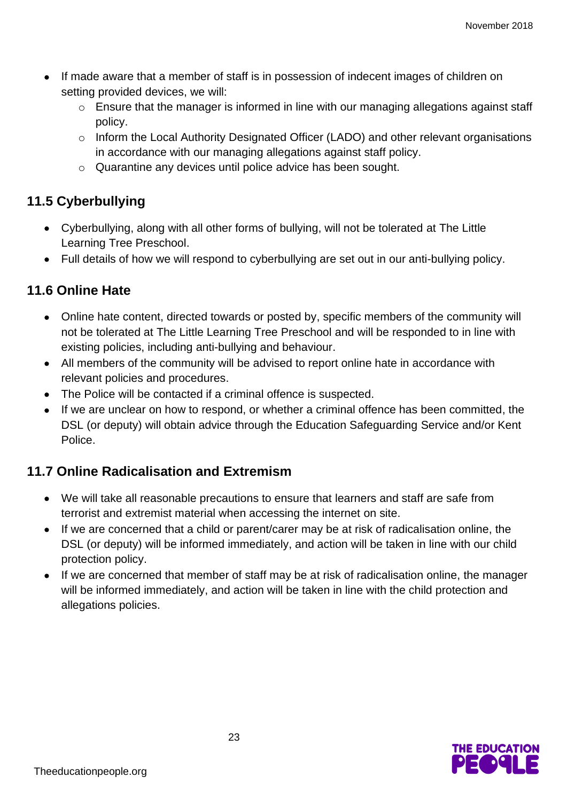- If made aware that a member of staff is in possession of indecent images of children on setting provided devices, we will:
	- o Ensure that the manager is informed in line with our managing allegations against staff policy.
	- o Inform the Local Authority Designated Officer (LADO) and other relevant organisations in accordance with our managing allegations against staff policy.
	- o Quarantine any devices until police advice has been sought.

#### **11.5 Cyberbullying**

- Cyberbullying, along with all other forms of bullying, will not be tolerated at The Little Learning Tree Preschool.
- Full details of how we will respond to cyberbullying are set out in our anti-bullying policy.

#### **11.6 Online Hate**

- Online hate content, directed towards or posted by, specific members of the community will not be tolerated at The Little Learning Tree Preschool and will be responded to in line with existing policies, including anti-bullying and behaviour.
- All members of the community will be advised to report online hate in accordance with relevant policies and procedures.
- The Police will be contacted if a criminal offence is suspected.
- If we are unclear on how to respond, or whether a criminal offence has been committed, the DSL (or deputy) will obtain advice through the Education Safeguarding Service and/or Kent Police.

#### **11.7 Online Radicalisation and Extremism**

- We will take all reasonable precautions to ensure that learners and staff are safe from terrorist and extremist material when accessing the internet on site.
- If we are concerned that a child or parent/carer may be at risk of radicalisation online, the DSL (or deputy) will be informed immediately, and action will be taken in line with our child protection policy.
- If we are concerned that member of staff may be at risk of radicalisation online, the manager will be informed immediately, and action will be taken in line with the child protection and allegations policies.

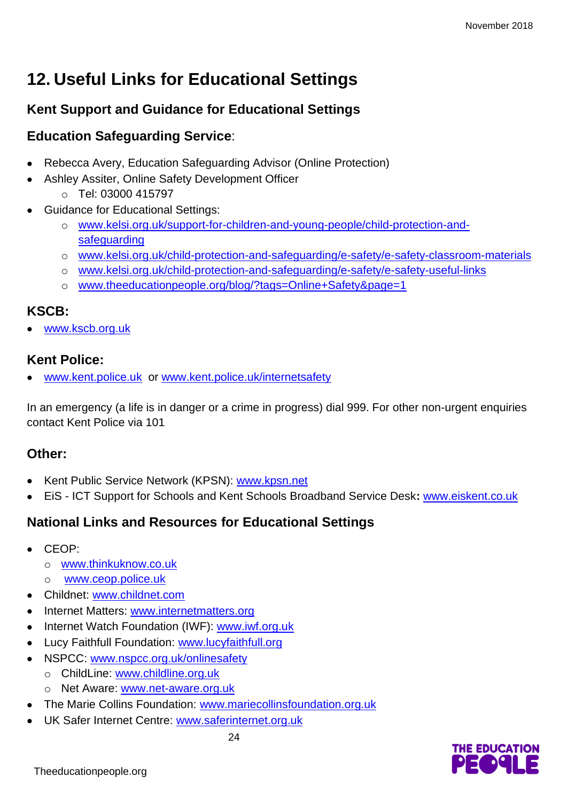## **12. Useful Links for Educational Settings**

#### **Kent Support and Guidance for Educational Settings**

#### **Education Safeguarding Service**:

- Rebecca Avery, Education Safeguarding Advisor (Online Protection)
- Ashley Assiter, Online Safety Development Officer
	- o Tel: 03000 415797
- Guidance for Educational Settings:
	- o [www.kelsi.org.uk/support-for-children-and-young-people/child-protection-and](http://www.kelsi.org.uk/support-for-children-and-young-people/child-protection-and-safeguarding)[safeguarding](http://www.kelsi.org.uk/support-for-children-and-young-people/child-protection-and-safeguarding)
	- o [www.kelsi.org.uk/child-protection-and-safeguarding/e-safety/e-safety-classroom-materials](http://www.kelsi.org.uk/child-protection-and-safeguarding/e-safety/e-safety-classroom-materials)
	- o [www.kelsi.org.uk/child-protection-and-safeguarding/e-safety/e-safety-useful-links](http://www.kelsi.org.uk/child-protection-and-safeguarding/e-safety/e-safety-useful-links)
	- o [www.theeducationpeople.org/blog/?tags=Online+Safety&page=1](http://www.theeducationpeople.org/blog/?tags=Online+Safety&page=1)

#### **KSCB:**

• [www.kscb.org.uk](http://www.kscb.org.uk/)

#### **Kent Police:**

[www.kent.police.uk](http://www.kent.police.uk/) or [www.kent.police.uk/internetsafety](http://www.kent.police.uk/internetsafety)

In an emergency (a life is in danger or a crime in progress) dial 999. For other non-urgent enquiries contact Kent Police via 101

#### **Other:**

- Kent Public Service Network (KPSN): [www.kpsn.net](http://www.kpsn.net/)
- EiS ICT Support for Schools and Kent Schools Broadband Service Desk**:** [www.eiskent.co.uk](http://www.eiskent.co.uk/)

#### **National Links and Resources for Educational Settings**

- CEOP:
	- o [www.thinkuknow.co.uk](http://www.thinkuknow.co.uk/)
	- o [www.ceop.police.uk](http://www.ceop.police.uk/)
- Childnet: [www.childnet.com](http://www.childnet.com/)
- Internet Matters: [www.internetmatters.org](http://www.internetmatters.org/)
- Internet Watch Foundation (IWF): [www.iwf.org.uk](http://www.iwf.org.uk/)
- Lucy Faithfull Foundation: [www.lucyfaithfull.org](http://www.lucyfaithfull.org/)
- NSPCC: [www.nspcc.org.uk/onlinesafety](http://www.nspcc.org.uk/onlinesafety)
	- o ChildLine: [www.childline.org.uk](http://www.childline.org.uk/)
	- o Net Aware: [www.net-aware.org.uk](http://www.net-aware.org.uk/)
- The Marie Collins Foundation: [www.mariecollinsfoundation.org.uk](http://www.mariecollinsfoundation.org.uk/)
- UK Safer Internet Centre: [www.saferinternet.org.uk](http://www.saferinternet.org.uk/)